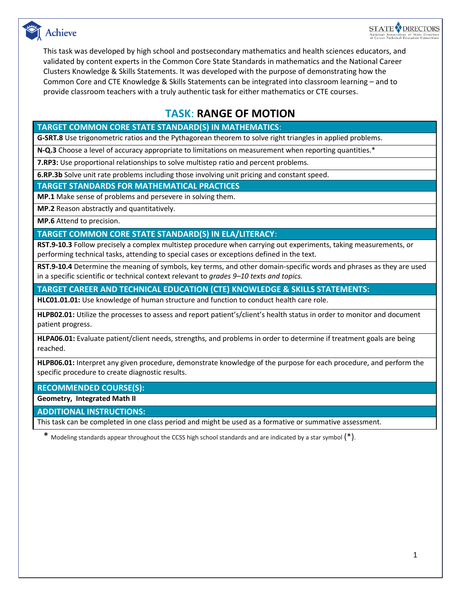



This task was developed by high school and postsecondary mathematics and health sciences educators, and validated by content experts in the Common Core State Standards in mathematics and the National Career Clusters Knowledge & Skills Statements. It was developed with the purpose of demonstrating how the Common Core and CTE Knowledge & Skills Statements can be integrated into classroom learning – and to provide classroom teachers with a truly authentic task for either mathematics or CTE courses.

### **TASK**: **RANGE OF MOTION**

### **TARGET COMMON CORE STATE STANDARD(S) IN MATHEMATICS**:

**G-SRT.8** Use trigonometric ratios and the Pythagorean theorem to solve right triangles in applied problems.

**N-Q.3** Choose a level of accuracy appropriate to limitations on measurement when reporting quantities.\*

**7.RP3:** Use proportional relationships to solve multistep ratio and percent problems.

**6.RP.3b** Solve unit rate problems including those involving unit pricing and constant speed.

**TARGET STANDARDS FOR MATHEMATICAL PRACTICES**

**MP.1** Make sense of problems and persevere in solving them.

**MP.2** Reason abstractly and quantitatively.

**MP.6** Attend to precision.

**TARGET COMMON CORE STATE STANDARD(S) IN ELA/LITERACY**:

**RST.9-10.3** Follow precisely a complex multistep procedure when carrying out experiments, taking measurements, or performing technical tasks, attending to special cases or exceptions defined in the text.

**RST.9-10.4** Determine the meaning of symbols, key terms, and other domain-specific words and phrases as they are used in a specific scientific or technical context relevant to *grades 9–10 texts and topics.*

**TARGET CAREER AND TECHNICAL EDUCATION (CTE) KNOWLEDGE & SKILLS STATEMENTS:**

**HLC01.01.01:** Use knowledge of human structure and function to conduct health care role.

**HLPB02.01:** Utilize the processes to assess and report patient's/client's health status in order to monitor and document patient progress.

**HLPA06.01:** Evaluate patient/client needs, strengths, and problems in order to determine if treatment goals are being reached.

**HLPB06.01:** Interpret any given procedure, demonstrate knowledge of the purpose for each procedure, and perform the specific procedure to create diagnostic results.

**RECOMMENDED COURSE(S):**

**Geometry, Integrated Math II**

**ADDITIONAL INSTRUCTIONS:**

This task can be completed in one class period and might be used as a formative or summative assessment.

\* Modeling standards appear throughout the CCSS high school standards and are indicated by a star symbol  $(*)$ .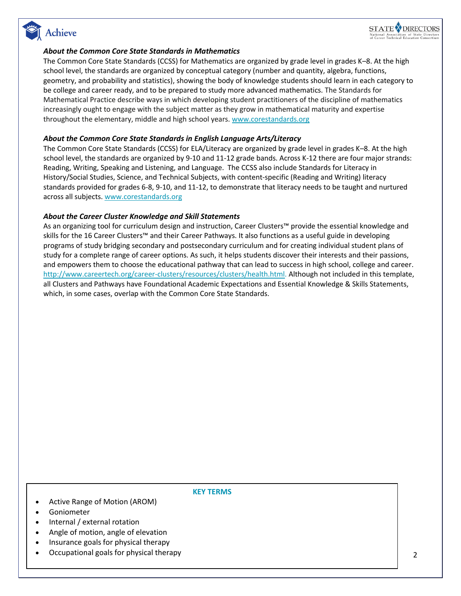## Achieve



### *About the Common Core State Standards in Mathematics*

The Common Core State Standards (CCSS) for Mathematics are organized by grade level in grades K–8. At the high school level, the standards are organized by conceptual category (number and quantity, algebra, functions, geometry, and probability and statistics), showing the body of knowledge students should learn in each category to be college and career ready, and to be prepared to study more advanced mathematics. The Standards for Mathematical Practice describe ways in which developing student practitioners of the discipline of mathematics increasingly ought to engage with the subject matter as they grow in mathematical maturity and expertise throughout the elementary, middle and high school years. [www.corestandards.org](http://www.corestandards.org/)

### *About the Common Core State Standards in English Language Arts/Literacy*

The Common Core State Standards (CCSS) for ELA/Literacy are organized by grade level in grades K–8. At the high school level, the standards are organized by 9-10 and 11-12 grade bands. Across K-12 there are four major strands: Reading, Writing, Speaking and Listening, and Language. The CCSS also include Standards for Literacy in History/Social Studies, Science, and Technical Subjects, with content-specific (Reading and Writing) literacy standards provided for grades 6-8, 9-10, and 11-12, to demonstrate that literacy needs to be taught and nurtured across all subjects. [www.corestandards.org](http://www.corestandards.org/)

#### *About the Career Cluster Knowledge and Skill Statements*

As an organizing tool for curriculum design and instruction, Career Clusters™ provide the essential knowledge and skills for the 16 Career Clusters™ and their Career Pathways. It also functions as a useful guide in developing programs of study bridging secondary and postsecondary curriculum and for creating individual student plans of study for a complete range of career options. As such, it helps students discover their interests and their passions, and empowers them to choose the educational pathway that can lead to success in high school, college and career. [http://www.careertech.org/career-clusters/resources/clusters/health.html.](http://www.careertech.org/career-clusters/resources/clusters/health.html) Although not included in this template, all Clusters and Pathways have Foundational Academic Expectations and Essential Knowledge & Skills Statements, which, in some cases, overlap with the Common Core State Standards.

#### **KEY TERMS**

- Active Range of Motion (AROM)
- Goniometer
- Internal / external rotation
- Angle of motion, angle of elevation
- Insurance goals for physical therapy
- Occupational goals for physical therapy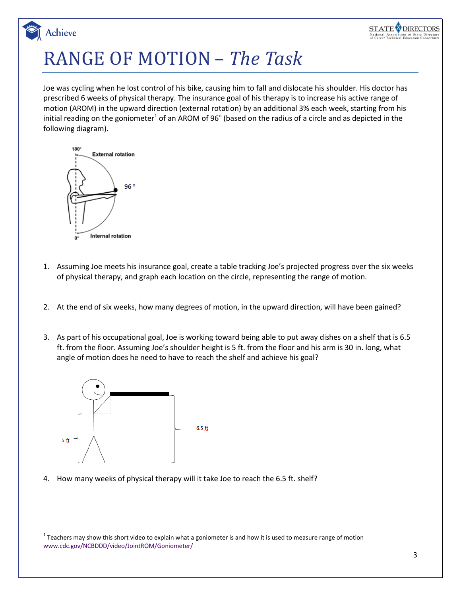# RANGE OF MOTION *– The Task*

Joe was cycling when he lost control of his bike, causing him to fall and dislocate his shoulder. His doctor has prescribed 6 weeks of physical therapy. The insurance goal of his therapy is to increase his active range of motion (AROM) in the upward direction (external rotation) by an additional 3% each week, starting from his initial reading on the goniometer<sup>1</sup> of an AROM of 96<sup>o</sup> (based on the radius of a circle and as depicted in the following diagram).



Achieve

- 1. Assuming Joe meets his insurance goal, create a table tracking Joe's projected progress over the six weeks of physical therapy, and graph each location on the circle, representing the range of motion.
- 2. At the end of six weeks, how many degrees of motion, in the upward direction, will have been gained?
- 3. As part of his occupational goal, Joe is working toward being able to put away dishes on a shelf that is 6.5 ft. from the floor. Assuming Joe's shoulder height is 5 ft. from the floor and his arm is 30 in. long, what angle of motion does he need to have to reach the shelf and achieve his goal?



 $\overline{a}$ 

4. How many weeks of physical therapy will it take Joe to reach the 6.5 ft. shelf?

STATE<sup>Y</sup> DIRECTORS

 $^1$  Teachers may show this short video to explain what a goniometer is and how it is used to measure range of motion [www.cdc.gov/NCBDDD/video/JointROM/Goniometer/](http://www.cdc.gov/NCBDDD/video/JointROM/Goniometer/index.html)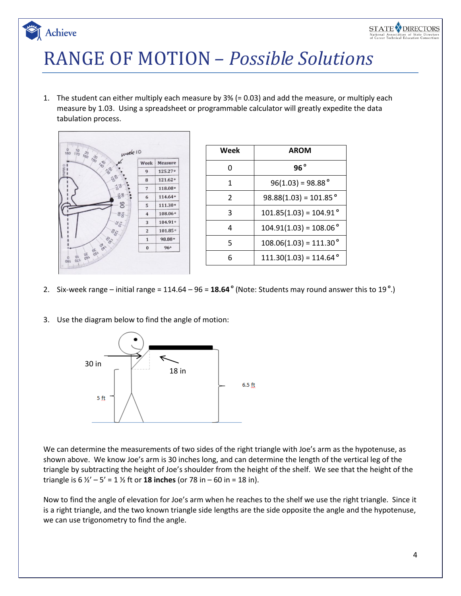## **STATE DIRECTORS**

# RANGE OF MOTION *– Possible Solutions*

1. The student can either multiply each measure by 3% (= 0.03) and add the measure, or multiply each measure by 1.03. Using a spreadsheet or programmable calculator will greatly expedite the data tabulation process.



Achieve

| Week | <b>AROM</b>                     |
|------|---------------------------------|
| O    | 96°                             |
| 1    | $96(1.03) = 98.88^{\circ}$      |
| 2    | $98.88(1.03) = 101.85^{\circ}$  |
| ੨    | $101.85(1.03) = 104.91^{\circ}$ |
| 4    | $104.91(1.03) = 108.06^{\circ}$ |
| 5    | $108.06(1.03) = 111.30^{\circ}$ |
| հ    | $111.30(1.03) = 114.64^{\circ}$ |

- 2. Six-week range initial range = 114.64 96 = **18.64 o** (Note: Students may round answer this to 19 **<sup>o</sup>** .)
- 3. Use the diagram below to find the angle of motion:



We can determine the measurements of two sides of the right triangle with Joe's arm as the hypotenuse, as shown above. We know Joe's arm is 30 inches long, and can determine the length of the vertical leg of the triangle by subtracting the height of Joe's shoulder from the height of the shelf. We see that the height of the triangle is  $6\frac{1}{2} - 5' = 1\frac{1}{2}$  ft or **18 inches** (or 78 in – 60 in = 18 in).

Now to find the angle of elevation for Joe's arm when he reaches to the shelf we use the right triangle. Since it is a right triangle, and the two known triangle side lengths are the side opposite the angle and the hypotenuse, we can use trigonometry to find the angle.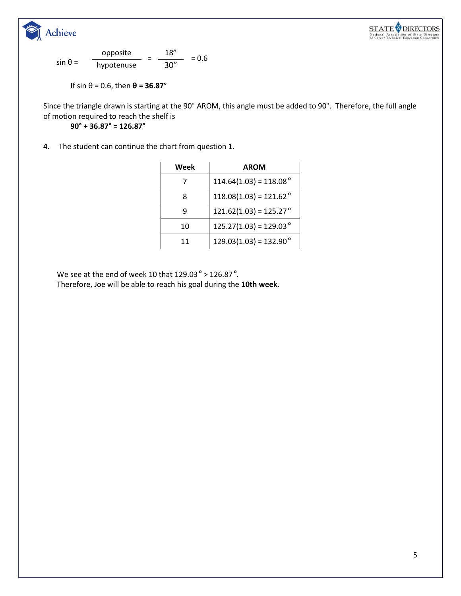



$$
\sin \theta = \frac{\text{opposite}}{\text{hypotenuse}} = \frac{18''}{30''} = 0.6
$$

If 
$$
\sin \theta = 0.6
$$
, then  $\theta = 36.87^{\circ}$ 

Since the triangle drawn is starting at the 90° AROM, this angle must be added to 90°. Therefore, the full angle of motion required to reach the shelf is

**90° + 36.87° = 126.87°**

**4.** The student can continue the chart from question 1.

| Week | <b>AROM</b>                          |
|------|--------------------------------------|
| 7    | $114.64(1.03) = 118.08$ °            |
| 8    | $118.08(1.03) = 121.62$ <sup>o</sup> |
| q    | $121.62(1.03) = 125.27$ °            |
| 10   | $125.27(1.03) = 129.03$ °            |
| 11   | $129.03(1.03) = 132.90^{\circ}$      |

We see at the end of week 10 that 129.03 **<sup>o</sup>** > 126.87 **<sup>o</sup>** . Therefore, Joe will be able to reach his goal during the **10th week.**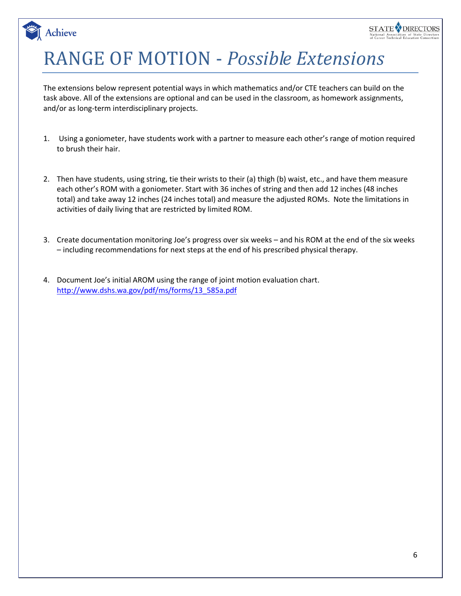# RANGE OF MOTION - *Possible Extensions*

**Achieve** 

The extensions below represent potential ways in which mathematics and/or CTE teachers can build on the task above. All of the extensions are optional and can be used in the classroom, as homework assignments, and/or as long-term interdisciplinary projects.

- 1. Using a goniometer, have students work with a partner to measure each other's range of motion required to brush their hair.
- 2. Then have students, using string, tie their wrists to their (a) thigh (b) waist, etc., and have them measure each other's ROM with a goniometer. Start with 36 inches of string and then add 12 inches (48 inches total) and take away 12 inches (24 inches total) and measure the adjusted ROMs. Note the limitations in activities of daily living that are restricted by limited ROM.
- 3. Create documentation monitoring Joe's progress over six weeks and his ROM at the end of the six weeks – including recommendations for next steps at the end of his prescribed physical therapy.
- 4. Document Joe's initial AROM using the range of joint motion evaluation chart. [http://www.dshs.wa.gov/pdf/ms/forms/13\\_585a.pdf](http://www.dshs.wa.gov/pdf/ms/forms/13_585a.pdf)

STATE<sup>Y</sup> DIRECTORS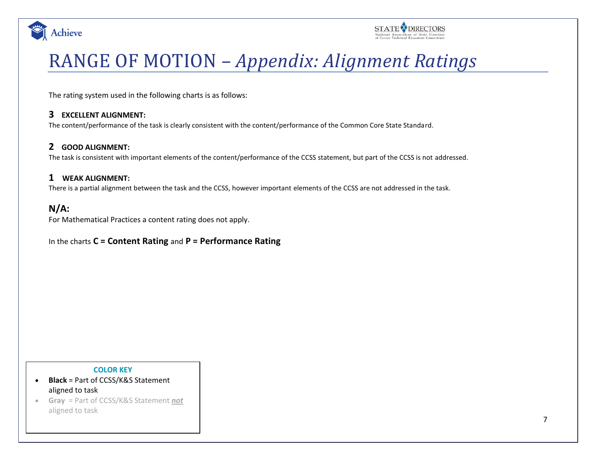



## RANGE OF MOTION – *Appendix: Alignment Ratings*

The rating system used in the following charts is as follows:

### **3 EXCELLENT ALIGNMENT:**

The content/performance of the task is clearly consistent with the content/performance of the Common Core State Standard.

### **2 GOOD ALIGNMENT:**

The task is consistent with important elements of the content/performance of the CCSS statement, but part of the CCSS is not addressed.

### **1 WEAK ALIGNMENT:**

There is a partial alignment between the task and the CCSS, however important elements of the CCSS are not addressed in the task.

### **N/A:**

For Mathematical Practices a content rating does not apply.

### In the charts **C = Content Rating** and **P = Performance Rating**

#### **COLOR KEY**

- **Black** = Part of CCSS/K&S Statement aligned to task
- **Gray** = Part of CCSS/K&S Statement *not* aligned to task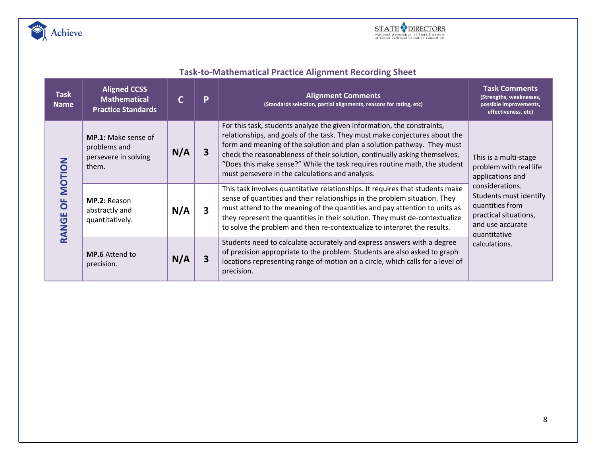



## **Task-to-Mathematical Practice Alignment Recording Sheet**

| <b>Task</b><br><b>Name</b>   | <b>Aligned CCSS</b><br><b>Mathematical</b><br><b>Practice Standards</b>     |     | P                       | <b>Alignment Comments</b><br>(Standards selection, partial alignments, reasons for rating, etc)                                                                                                                                                                                                                                                                                                                                                 | <b>Task Comments</b><br>(Strengths, weaknesses,<br>possible improvements,<br>effectiveness, etc)                                           |  |
|------------------------------|-----------------------------------------------------------------------------|-----|-------------------------|-------------------------------------------------------------------------------------------------------------------------------------------------------------------------------------------------------------------------------------------------------------------------------------------------------------------------------------------------------------------------------------------------------------------------------------------------|--------------------------------------------------------------------------------------------------------------------------------------------|--|
| <b>MOTION</b><br>bF<br>RANGE | <b>MP.1:</b> Make sense of<br>problems and<br>persevere in solving<br>them. | N/A | 3                       | For this task, students analyze the given information, the constraints,<br>relationships, and goals of the task. They must make conjectures about the<br>form and meaning of the solution and plan a solution pathway. They must<br>check the reasonableness of their solution, continually asking themselves,<br>"Does this make sense?" While the task requires routine math, the student<br>must persevere in the calculations and analysis. | This is a multi-stage<br>problem with real life<br>applications and                                                                        |  |
|                              | <b>MP.2: Reason</b><br>abstractly and<br>quantitatively.                    | N/A | $\overline{\mathbf{3}}$ | This task involves quantitative relationships. It requires that students make<br>sense of quantities and their relationships in the problem situation. They<br>must attend to the meaning of the quantities and pay attention to units as<br>they represent the quantities in their solution. They must de-contextualize<br>to solve the problem and then re-contextualize to interpret the results.                                            | considerations.<br>Students must identify<br>quantities from<br>practical situations,<br>and use accurate<br>quantitative<br>calculations. |  |
|                              | <b>MP.6</b> Attend to<br>precision.                                         | N/A | З                       | Students need to calculate accurately and express answers with a degree<br>of precision appropriate to the problem. Students are also asked to graph<br>locations representing range of motion on a circle, which calls for a level of<br>precision.                                                                                                                                                                                            |                                                                                                                                            |  |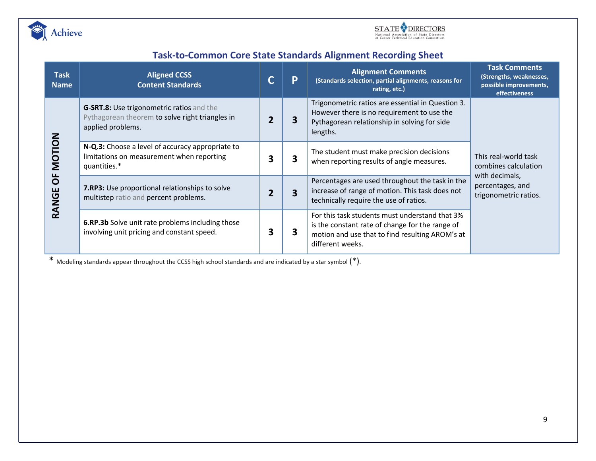



### **Task-to-Common Core State Standards Alignment Recording Sheet**

| <b>Task</b><br><b>Name</b>               | <b>Aligned CCSS</b><br><b>Content Standards</b>                                                                   |   | P | <b>Alignment Comments</b><br>(Standards selection, partial alignments, reasons for<br>rating, etc.)                                                                      | <b>Task Comments</b><br>(Strengths, weaknesses,<br>possible improvements,<br>effectiveness                  |
|------------------------------------------|-------------------------------------------------------------------------------------------------------------------|---|---|--------------------------------------------------------------------------------------------------------------------------------------------------------------------------|-------------------------------------------------------------------------------------------------------------|
| <b>MOTION</b><br>$\overline{0}$<br>RANGE | G-SRT.8: Use trigonometric ratios and the<br>Pythagorean theorem to solve right triangles in<br>applied problems. |   | 3 | Trigonometric ratios are essential in Question 3.<br>However there is no requirement to use the<br>Pythagorean relationship in solving for side<br>lengths.              | This real-world task<br>combines calculation<br>with decimals,<br>percentages, and<br>trigonometric ratios. |
|                                          | N-Q.3: Choose a level of accuracy appropriate to<br>limitations on measurement when reporting<br>quantities.*     |   | 3 | The student must make precision decisions<br>when reporting results of angle measures.                                                                                   |                                                                                                             |
|                                          | <b>7.RP3:</b> Use proportional relationships to solve<br>multistep ratio and percent problems.                    |   | 3 | Percentages are used throughout the task in the<br>increase of range of motion. This task does not<br>technically require the use of ratios.                             |                                                                                                             |
|                                          | 6.RP.3b Solve unit rate problems including those<br>involving unit pricing and constant speed.                    | 3 | 3 | For this task students must understand that 3%<br>is the constant rate of change for the range of<br>motion and use that to find resulting AROM's at<br>different weeks. |                                                                                                             |

\* Modeling standards appear throughout the CCSS high school standards and are indicated by a star symbol (\*).